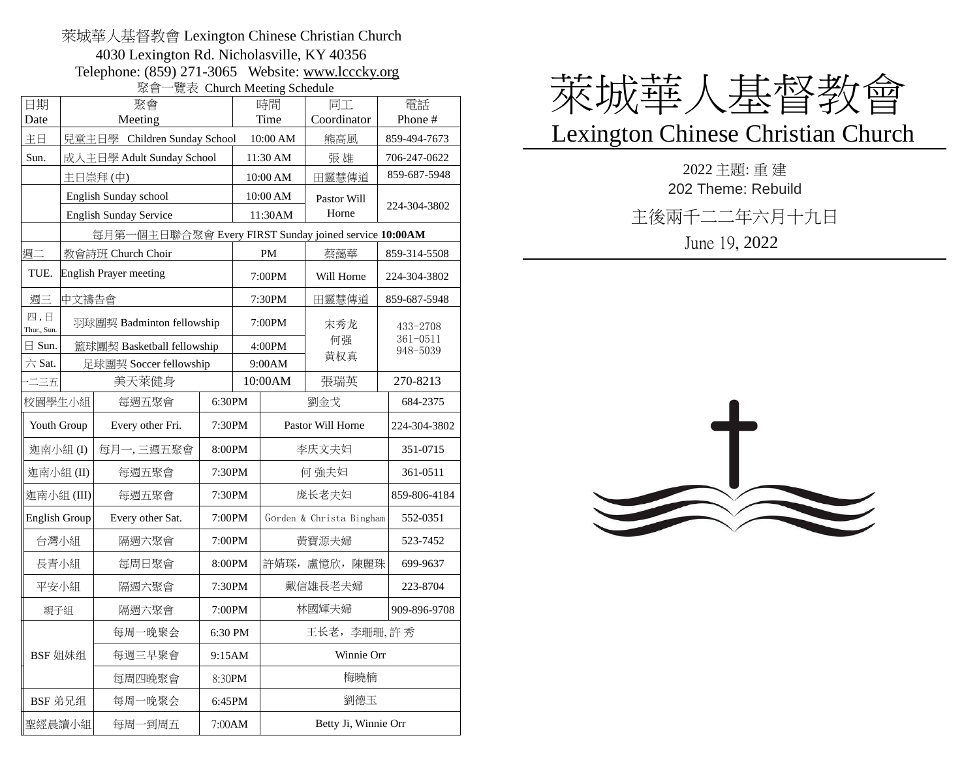## 萊城華人基督教會 Lexington Chinese Christian Church 4030 Lexington Rd. Nicholasville, KY 40356 Telephone: (859) 271-3065 Website: [www.lcccky.org](http://www.lcccky.org/) 聚會一覽表 Church Meeting Schedule

|                      |                                                       | ᄿᄇ<br>聚會                      |          |          | $\approx 100$ Charged McCamp between |                      |                                      |  |
|----------------------|-------------------------------------------------------|-------------------------------|----------|----------|--------------------------------------|----------------------|--------------------------------------|--|
| 日期                   |                                                       | 時間                            |          | 同工       | 電話                                   |                      |                                      |  |
| Date                 |                                                       |                               | Time     |          | Coordinator                          | Phone #              |                                      |  |
| 主日                   | 兒童主日學 Children Sunday School                          |                               |          | 10:00 AM |                                      | 熊高風                  | 859-494-7673                         |  |
| Sun.                 | 成人主日學 Adult Sunday School                             |                               | 11:30 AM |          | 張雄                                   | 706-247-0622         |                                      |  |
|                      | 主日崇拜(中)                                               |                               | 10:00 AM |          | 田靈慧傳道                                | 859-687-5948         |                                      |  |
|                      |                                                       | English Sunday school         |          | 10:00 AM |                                      | Pastor Will          | 224-304-3802                         |  |
|                      |                                                       | <b>English Sunday Service</b> |          | 11:30AM  |                                      | Horne                |                                      |  |
|                      | 每月第一個主日聯合聚會 Every FIRST Sunday joined service 10:00AM |                               |          |          |                                      |                      |                                      |  |
| 週二                   |                                                       | 教會詩班 Church Choir             |          | PM       |                                      | 蔡藹華                  | 859-314-5508                         |  |
| TUE.                 | <b>English Prayer meeting</b>                         |                               | 7:00PM   |          | Will Horne                           | 224-304-3802         |                                      |  |
| 週三                   | 中文禱告會                                                 |                               |          |          | 7:30PM                               | 田靈慧傳道                | 859-687-5948                         |  |
| 四,日<br>Thur., Sun.   | 羽球團契 Badminton fellowship                             |                               |          |          | 7:00PM                               | 宋秀龙<br>何强<br>黄权真     | 433-2708<br>$361 - 0511$<br>948-5039 |  |
| $\boxminus$ Sun.     |                                                       | 籃球團契 Basketball fellowship    |          |          | 4:00PM                               |                      |                                      |  |
| 六 Sat.               | 足球團契 Soccer fellowship                                |                               | 9:00AM   |          |                                      |                      |                                      |  |
| 二三五                  |                                                       | 美天萊健身                         |          |          | 10:00AM                              | 張瑞英                  | 270-8213                             |  |
| 校園學生小組<br>每週五聚會      |                                                       | 6:30PM                        |          | 劉金戈      | 684-2375                             |                      |                                      |  |
| Youth Group          |                                                       | Every other Fri.              | 7:30PM   |          | Pastor Will Horne                    |                      | 224-304-3802                         |  |
| 迦南小組(I)              |                                                       | 每月一,三週五聚會                     | 8:00PM   |          | 李庆文夫妇                                |                      | 351-0715                             |  |
| 迦南小組(II)             |                                                       | 每週五聚會                         | 7:30PM   |          | 何 強夫妇                                |                      | 361-0511                             |  |
| 迦南小組(III)            |                                                       | 每週五聚會                         | 7:30PM   |          | 庞长老夫妇                                |                      | 859-806-4184                         |  |
| <b>English Group</b> |                                                       | Every other Sat.              | 7:00PM   |          | Gorden & Christa Bingham             |                      | 552-0351                             |  |
| 台灣小組                 |                                                       | 隔週六聚會                         | 7:00PM   |          | 黃寶源夫婦                                |                      | 523-7452                             |  |
| 長青小組                 |                                                       | 每周日聚會                         | 8:00PM   |          |                                      | 許婧琛, 盧憶欣, 陳麗珠        | 699-9637                             |  |
| 平安小組                 |                                                       | 隔週六聚會                         | 7:30PM   |          | 戴信雄長老夫婦                              |                      | 223-8704                             |  |
| 親子組                  |                                                       | 隔週六聚會                         | 7:00PM   |          | 林國輝夫婦                                |                      | 909-896-9708                         |  |
| BSF 姐妹组              |                                                       | 每周一晚聚会                        | 6:30 PM  |          | 王长老, 李珊珊, 許秀                         |                      |                                      |  |
|                      |                                                       | 每週三早聚會                        | 9:15AM   |          | Winnie Orr                           |                      |                                      |  |
|                      |                                                       | 每周四晚聚會                        | 8:30PM   |          | 梅曉楠                                  |                      |                                      |  |
| BSF 弟兄组              |                                                       | 每周一晚聚会                        | 6:45PM   |          |                                      | 劉德玉                  |                                      |  |
| 聖經晨讀小組               |                                                       | 每周一到周五                        | 7:00AM   |          |                                      | Betty Ji, Winnie Orr |                                      |  |



## Lexington Chinese Christian Church

2022 主題: 重 建 202 Theme: Rebuild 主後兩千二二年六月十九日 June 19, 2022